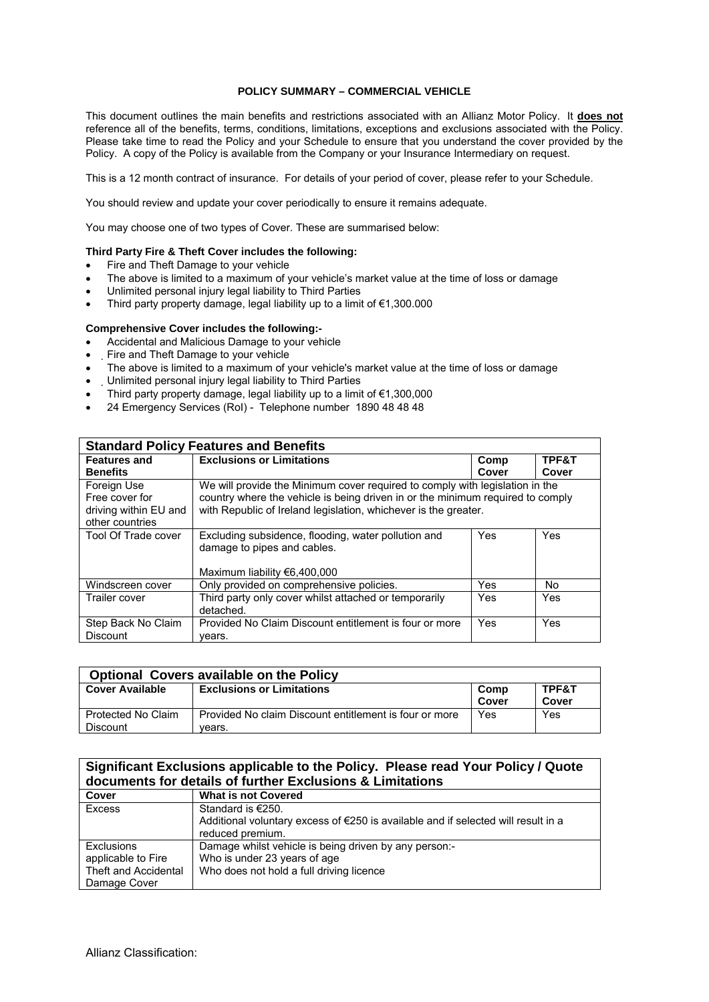### **POLICY SUMMARY – COMMERCIAL VEHICLE**

This document outlines the main benefits and restrictions associated with an Allianz Motor Policy. It **does not** reference all of the benefits, terms, conditions, limitations, exceptions and exclusions associated with the Policy. Please take time to read the Policy and your Schedule to ensure that you understand the cover provided by the Policy. A copy of the Policy is available from the Company or your Insurance Intermediary on request.

This is a 12 month contract of insurance. For details of your period of cover, please refer to your Schedule.

You should review and update your cover periodically to ensure it remains adequate.

You may choose one of two types of Cover. These are summarised below:

#### **Third Party Fire & Theft Cover includes the following:**

- Fire and Theft Damage to your vehicle
- The above is limited to a maximum of your vehicle's market value at the time of loss or damage
- Unlimited personal injury legal liability to Third Parties
- Third party property damage, legal liability up to a limit of €1,300.000

## **Comprehensive Cover includes the following:-**

- Accidental and Malicious Damage to your vehicle
- Fire and Theft Damage to your vehicle
- The above is limited to a maximum of your vehicle's market value at the time of loss or damage
- Unlimited personal injury legal liability to Third Parties
- Third party property damage, legal liability up to a limit of €1,300,000
- 24 Emergency Services (RoI) Telephone number 1890 48 48 48

| <b>Standard Policy Features and Benefits</b>                              |                                                                                                                                                                                                                                   |            |       |  |
|---------------------------------------------------------------------------|-----------------------------------------------------------------------------------------------------------------------------------------------------------------------------------------------------------------------------------|------------|-------|--|
| <b>Features and</b>                                                       | <b>Exclusions or Limitations</b>                                                                                                                                                                                                  | Comp       | TPF&T |  |
| <b>Benefits</b>                                                           |                                                                                                                                                                                                                                   | Cover      | Cover |  |
| Foreign Use<br>Free cover for<br>driving within EU and<br>other countries | We will provide the Minimum cover required to comply with legislation in the<br>country where the vehicle is being driven in or the minimum required to comply<br>with Republic of Ireland legislation, whichever is the greater. |            |       |  |
| Tool Of Trade cover                                                       | Excluding subsidence, flooding, water pollution and<br>damage to pipes and cables.<br>Maximum liability $€6,400,000$                                                                                                              | Yes        | Yes   |  |
| Windscreen cover                                                          | Only provided on comprehensive policies.                                                                                                                                                                                          | Yes        | No    |  |
| Trailer cover                                                             | Third party only cover whilst attached or temporarily<br>detached.                                                                                                                                                                | <b>Yes</b> | Yes   |  |
| Step Back No Claim<br><b>Discount</b>                                     | Provided No Claim Discount entitlement is four or more<br>years.                                                                                                                                                                  | <b>Yes</b> | Yes   |  |

| <b>Optional Covers available on the Policy</b> |                                                        |       |       |  |
|------------------------------------------------|--------------------------------------------------------|-------|-------|--|
| <b>Cover Available</b>                         | <b>Exclusions or Limitations</b>                       | Comp  | TPF&T |  |
|                                                |                                                        | Cover | Cover |  |
| Protected No Claim                             | Provided No claim Discount entitlement is four or more | Yes   | Yes   |  |
| <b>Discount</b>                                | vears.                                                 |       |       |  |

# **Significant Exclusions applicable to the Policy. Please read Your Policy / Quote documents for details of further Exclusions & Limitations**

| Cover                | <b>What is not Covered</b>                                                                  |
|----------------------|---------------------------------------------------------------------------------------------|
| Excess               | Standard is €250.                                                                           |
|                      | Additional voluntary excess of $\epsilon$ 250 is available and if selected will result in a |
|                      | reduced premium.                                                                            |
| Exclusions           | Damage whilst vehicle is being driven by any person:-                                       |
| applicable to Fire   | Who is under 23 years of age                                                                |
| Theft and Accidental | Who does not hold a full driving licence                                                    |
| Damage Cover         |                                                                                             |